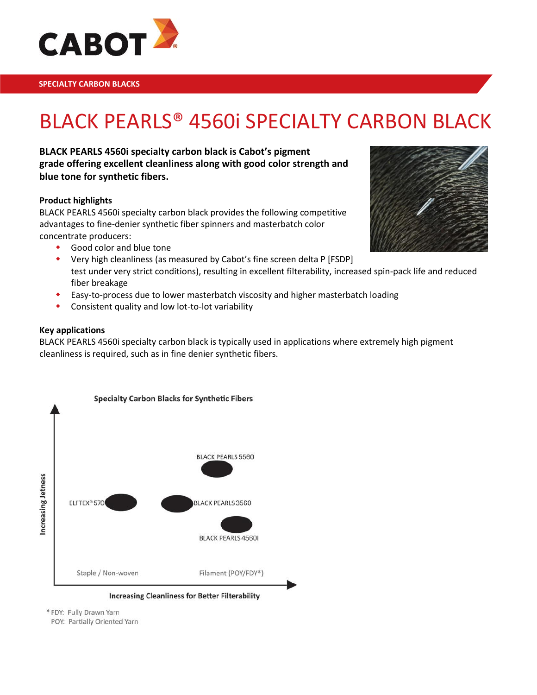

# BLACK PEARLS® 4560i SPECIALTY CARBON BLACK

**BLACK PEARLS 4560i specialty carbon black is Cabot's pigment grade offering excellent cleanliness along with good color strength and blue tone for synthetic fibers.**

### **Product highlights**

BLACK PEARLS 4560i specialty carbon black provides the following competitive advantages to fine-denier synthetic fiber spinners and masterbatch color concentrate producers:

- Good color and blue tone
- Very high cleanliness (as measured by Cabot's fine screen delta P [FSDP] test under very strict conditions), resulting in excellent filterability, increased spin-pack life and reduced fiber breakage
- Easy-to-process due to lower masterbatch viscosity and higher masterbatch loading
- Consistent quality and low lot-to-lot variability

#### **Key applications**

BLACK PEARLS 4560i specialty carbon black is typically used in applications where extremely high pigment cleanliness is required, such as in fine denier synthetic fibers.



**Increasing Cleanliness for Better Filterability** 

\* FDY: Fully Drawn Yarn

POY: Partially Oriented Yarn